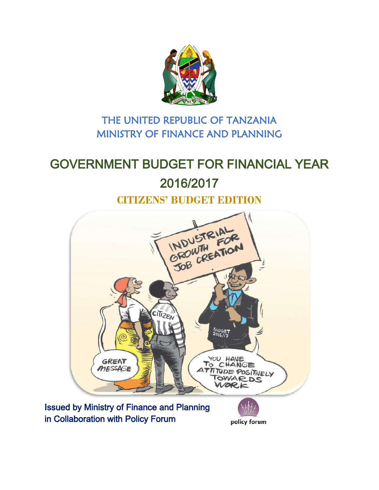

## THE UNITED REPUBLIC OF TANZANIA MINISTRY OF FINANCE AND PLANNING

# GOVERNMENT BUDGET FOR FINANCIAL YEAR

## 2016/2017

## **CITIZENS' BUDGET EDITION**



Issued by Ministry of Finance and Planning in Collaboration with Policy Forum

policy forum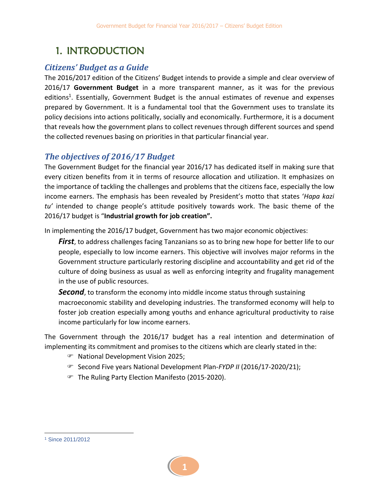## 1. INTRODUCTION

#### *Citizens' Budget as a Guide*

The 2016/2017 edition of the Citizens' Budget intends to provide a simple and clear overview of 2016/17 **Government Budget** in a more transparent manner, as it was for the previous editions<sup>1</sup>. Essentially, Government Budget is the annual estimates of revenue and expenses prepared by Government. It is a fundamental tool that the Government uses to translate its policy decisions into actions politically, socially and economically. Furthermore, it is a document that reveals how the government plans to collect revenues through different sources and spend the collected revenues basing on priorities in that particular financial year.

#### *The objectives of 2016/17 Budget*

The Government Budget for the financial year 2016/17 has dedicated itself in making sure that every citizen benefits from it in terms of resource allocation and utilization. It emphasizes on the importance of tackling the challenges and problems that the citizens face, especially the low income earners. The emphasis has been revealed by President's motto that states '*Hapa kazi tu'* intended to change people's attitude positively towards work. The basic theme of the 2016/17 budget is "**Industrial growth for job creation".**

In implementing the 2016/17 budget, Government has two major economic objectives:

**First**, to address challenges facing Tanzanians so as to bring new hope for better life to our people, especially to low income earners. This objective will involves major reforms in the Government structure particularly restoring discipline and accountability and get rid of the culture of doing business as usual as well as enforcing integrity and frugality management in the use of public resources.

**Second**, to transform the economy into middle income status through sustaining macroeconomic stability and developing industries. The transformed economy will help to foster job creation especially among youths and enhance agricultural productivity to raise income particularly for low income earners.

The Government through the 2016/17 budget has a real intention and determination of implementing its commitment and promises to the citizens which are clearly stated in the:

- National Development Vision 2025;
- Second Five years National Development Plan-*FYDP II* (2016/17-2020/21);
- The Ruling Party Election Manifesto (2015-2020).

 $\overline{a}$ 



<sup>1</sup> Since 2011/2012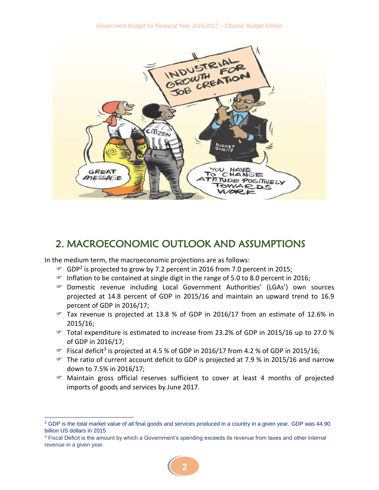

## 2. MACROECONOMIC OUTLOOK AND ASSUMPTIONS

In the medium term, the macroeconomic projections are as follows:

 $\overline{a}$ 

- GDP<sup>2</sup> is projected to grow by 7.2 percent in 2016 from 7.0 percent in 2015;
- $\degree$  Inflation to be contained at single digit in the range of 5.0 to 8.0 percent in 2016;
- Domestic revenue including Local Government Authorities' (LGAs') own sources projected at 14.8 percent of GDP in 2015/16 and maintain an upward trend to 16.9 percent of GDP in 2016/17;
- Tax revenue is projected at 13.8 % of GDP in 2016/17 from an estimate of 12.6% in 2015/16;
- Total expenditure is estimated to increase from 23.2% of GDP in 2015/16 up to 27.0 % of GDP in 2016/17;
- $\mathcal{F}$  Fiscal deficit<sup>3</sup> is projected at 4.5 % of GDP in 2016/17 from 4.2 % of GDP in 2015/16;
- The ratio of current account deficit to GDP is projected at 7.9 % in 2015/16 and narrow down to 7.5% in 2016/17;
- Maintain gross official reserves sufficient to cover at least 4 months of projected imports of goods and services by June 2017.

<sup>&</sup>lt;sup>2</sup> GDP is the total market value of all final goods and services produced in a country in a given year. GDP was 44.90 billion US dollars in 2015

<sup>&</sup>lt;sup>3</sup> Fiscal Deficit is the amount by which a Government's spending exceeds its revenue from taxes and other internal revenue in a given year.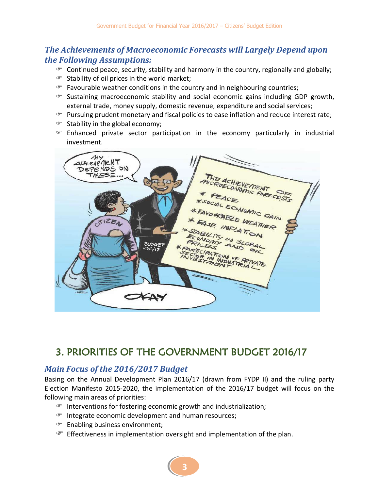#### *The Achievements of Macroeconomic Forecasts will Largely Depend upon the Following Assumptions:*

- Continued peace, security, stability and harmony in the country, regionally and globally;
- Stability of oil prices in the world market;
- Favourable weather conditions in the country and in neighbouring countries;
- Sustaining macroeconomic stability and social economic gains including GDP growth, external trade, money supply, domestic revenue, expenditure and social services;
- Pursuing prudent monetary and fiscal policies to ease inflation and reduce interest rate;
- $\mathcal{F}$  Stability in the global economy;
- Enhanced private sector participation in the economy particularly in industrial investment.



## 3. PRIORITIES OF THE GOVERNMENT BUDGET 2016/17

#### *Main Focus of the 2016/2017 Budget*

Basing on the Annual Development Plan 2016/17 (drawn from FYDP II) and the ruling party Election Manifesto 2015-2020, the implementation of the 2016/17 budget will focus on the following main areas of priorities:

- Interventions for fostering economic growth and industrialization;
- Integrate economic development and human resources;
- Enabling business environment;
- $\mathcal F$  Effectiveness in implementation oversight and implementation of the plan.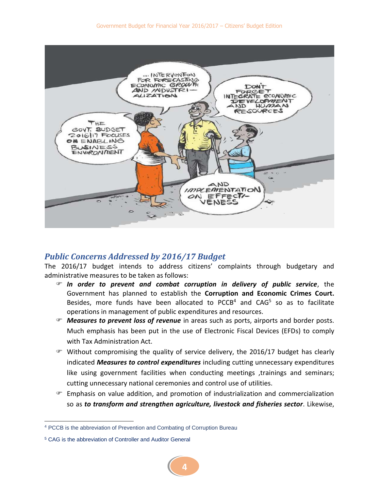

#### *Public Concerns Addressed by 2016/17 Budget*

The 2016/17 budget intends to address citizens' complaints through budgetary and administrative measures to be taken as follows:

- *In order to prevent and combat corruption in delivery of public service*, the Government has planned to establish the **Corruption and Economic Crimes Court.**  Besides, more funds have been allocated to PCCB<sup>4</sup> and CAG<sup>5</sup> so as to facilitate operations in management of public expenditures and resources.
- *Measures to prevent loss of revenue* in areas such as ports, airports and border posts. Much emphasis has been put in the use of Electronic Fiscal Devices (EFDs) to comply with Tax Administration Act.
- $\mathcal{F}$  Without compromising the quality of service delivery, the 2016/17 budget has clearly indicated *Measures to control expenditures* including cutting unnecessary expenditures like using government facilities when conducting meetings ,trainings and seminars; cutting unnecessary national ceremonies and control use of utilities.
- Emphasis on value addition, and promotion of industrialization and commercialization so as *to transform and strengthen agriculture, livestock and fisheries sector*. Likewise,

 $\overline{a}$ 

<sup>4</sup> PCCB is the abbreviation of Prevention and Combating of Corruption Bureau

<sup>5</sup> CAG is the abbreviation of Controller and Auditor General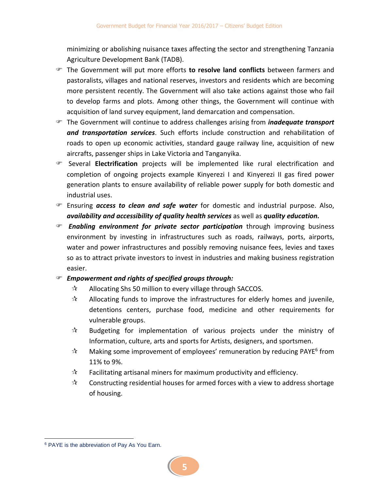minimizing or abolishing nuisance taxes affecting the sector and strengthening Tanzania Agriculture Development Bank (TADB).

- The Government will put more efforts **to resolve land conflicts** between farmers and pastoralists, villages and national reserves, investors and residents which are becoming more persistent recently. The Government will also take actions against those who fail to develop farms and plots. Among other things, the Government will continue with acquisition of land survey equipment, land demarcation and compensation.
- The Government will continue to address challenges arising from *inadequate transport and transportation services*. Such efforts include construction and rehabilitation of roads to open up economic activities, standard gauge railway line, acquisition of new aircrafts, passenger ships in Lake Victoria and Tanganyika.
- Several **Electrification** projects will be implemented like rural electrification and completion of ongoing projects example Kinyerezi I and Kinyerezi II gas fired power generation plants to ensure availability of reliable power supply for both domestic and industrial uses.
- Ensuring *access to clean and safe water* for domestic and industrial purpose. Also, *availability and accessibility of quality health services* as well as *quality education.*
- *Enabling environment for private sector participation* through improving business environment by investing in infrastructures such as roads, railways, ports, airports, water and power infrastructures and possibly removing nuisance fees, levies and taxes so as to attract private investors to invest in industries and making business registration easier.

#### *Empowerment and rights of specified groups through:*

- $\mathbf{\hat{x}}$  Allocating Shs 50 million to every village through SACCOS.
- $\mathbf{\hat{x}}$  Allocating funds to improve the infrastructures for elderly homes and juvenile, detentions centers, purchase food, medicine and other requirements for vulnerable groups.
- $\mathbf{\hat{x}}$  Budgeting for implementation of various projects under the ministry of Information, culture, arts and sports for Artists, designers, and sportsmen.
- $\mathcal{A}$  Making some improvement of employees' remuneration by reducing PAYE<sup>6</sup> from 11% to 9%.
- $\mathcal{F}$  Facilitating artisanal miners for maximum productivity and efficiency.
- $\mathbf{\hat{x}}$  Constructing residential houses for armed forces with a view to address shortage of housing.

 $\overline{\phantom{a}}$ <sup>6</sup> PAYE is the abbreviation of Pay As You Earn.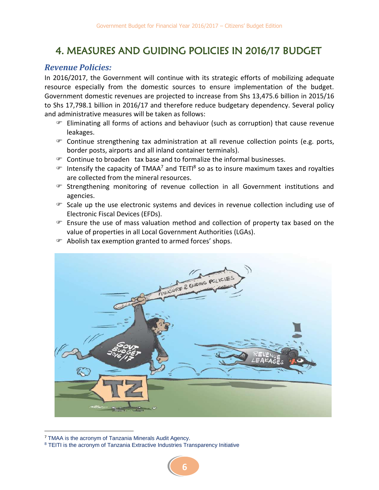## 4. MEASURES AND GUIDING POLICIES IN 2016/17 BUDGET

#### *Revenue Policies:*

In 2016/2017, the Government will continue with its strategic efforts of mobilizing adequate resource especially from the domestic sources to ensure implementation of the budget. Government domestic revenues are projected to increase from Shs 13,475.6 billion in 2015/16 to Shs 17,798.1 billion in 2016/17 and therefore reduce budgetary dependency. Several policy and administrative measures will be taken as follows:

- Eliminating all forms of actions and behaviuor (such as corruption) that cause revenue leakages.
- Continue strengthening tax administration at all revenue collection points (e.g. ports, border posts, airports and all inland container terminals).
- $\mathcal{F}$  Continue to broaden tax base and to formalize the informal businesses.
- $\mathcal{F}$  Intensify the capacity of TMAA<sup>7</sup> and TEITI<sup>8</sup> so as to insure maximum taxes and royalties are collected from the mineral resources.
- Strengthening monitoring of revenue collection in all Government institutions and agencies.
- Scale up the use electronic systems and devices in revenue collection including use of Electronic Fiscal Devices (EFDs).
- $\mathcal F$  Ensure the use of mass valuation method and collection of property tax based on the value of properties in all Local Government Authorities (LGAs).
- Abolish tax exemption granted to armed forces' shops.



<sup>&</sup>lt;sup>7</sup> TMAA is the acronym of Tanzania Minerals Audit Agency.

l

<sup>8</sup> TEITI is the acronym of Tanzania Extractive Industries Transparency Initiative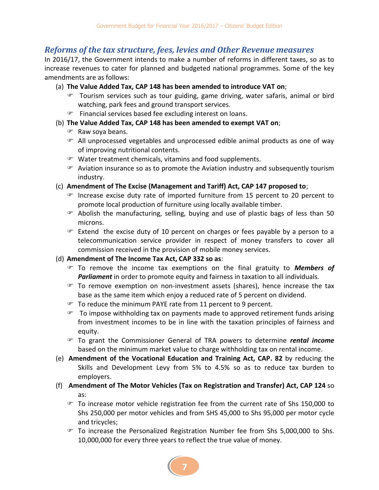#### *Reforms of the tax structure, fees, levies and Other Revenue measures*

In 2016/17, the Government intends to make a number of reforms in different taxes, so as to increase revenues to cater for planned and budgeted national programmes. Some of the key amendments are as follows:

- (a) **The Value Added Tax, CAP 148 has been amended to introduce VAT on**;
	- Tourism services such as tour guiding, game driving, water safaris, animal or bird watching, park fees and ground transport services.
	- Financial services based fee excluding interest on loans.
- (b) **The Value Added Tax, CAP 148 has been amended to exempt VAT on**;
	- $\mathcal{F}$  Raw soya beans.
	- All unprocessed vegetables and unprocessed edible animal products as one of way of improving nutritional contents.
	- Water treatment chemicals, vitamins and food supplements.
	- Aviation insurance so as to promote the Aviation industry and subsequently tourism industry.
- (c) **Amendment of The Excise (Management and Tariff) Act, CAP 147 proposed to**;
	- $\mathcal F$  Increase excise duty rate of imported furniture from 15 percent to 20 percent to promote local production of furniture using locally available timber.
	- Abolish the manufacturing, selling, buying and use of plastic bags of less than 50 microns.
	- Extend the excise duty of 10 percent on charges or fees payable by a person to a telecommunication service provider in respect of money transfers to cover all commission received in the provision of mobile money services.
- (d) **Amendment of The Income Tax Act, CAP 332 so as**:
	- To remove the income tax exemptions on the final gratuity to *Members of Parliament* in order to promote equity and fairness in taxation to all individuals.
	- To remove exemption on non-investment assets (shares), hence increase the tax base as the same item which enjoy a reduced rate of 5 percent on dividend.
	- To reduce the minimum PAYE rate from 11 percent to 9 percent.
	- To impose withholding tax on payments made to approved retirement funds arising from investment incomes to be in line with the taxation principles of fairness and equity.
	- To grant the Commissioner General of TRA powers to determine *rental income* based on the minimum market value to charge withholding tax on rental income.
- (e) **Amendment of the Vocational Education and Training Act, CAP. 82** by reducing the Skills and Development Levy from 5% to 4.5% so as to reduce tax burden to employers.
- (f) **Amendment of The Motor Vehicles (Tax on Registration and Transfer) Act, CAP 124** so as:
	- To increase motor vehicle registration fee from the current rate of Shs 150,000 to Shs 250,000 per motor vehicles and from SHS 45,000 to Shs 95,000 per motor cycle and tricycles;
	- To increase the Personalized Registration Number fee from Shs 5,000,000 to Shs. 10,000,000 for every three years to reflect the true value of money.

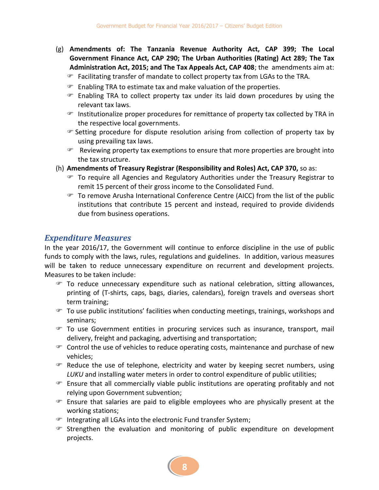- (g) **Amendments of: The Tanzania Revenue Authority Act, CAP 399; The Local Government Finance Act, CAP 290; The Urban Authorities (Rating) Act 289; The Tax Administration Act, 2015; and The Tax Appeals Act, CAP 408**; the amendments aim at:
	- Facilitating transfer of mandate to collect property tax from LGAs to the TRA*.*
	- Enabling TRA to estimate tax and make valuation of the properties.
	- $\mathcal F$  Enabling TRA to collect property tax under its laid down procedures by using the relevant tax laws.
	- Institutionalize proper procedures for remittance of property tax collected by TRA in the respective local governments.
	- Setting procedure for dispute resolution arising from collection of property tax by using prevailing tax laws.
	- $\mathcal F$  Reviewing property tax exemptions to ensure that more properties are brought into the tax structure.
- (h) **Amendments of Treasury Registrar (Responsibility and Roles) Act, CAP 370,** so as:
	- To require all Agencies and Regulatory Authorities under the Treasury Registrar to remit 15 percent of their gross income to the Consolidated Fund.
	- To remove Arusha International Conference Centre (AICC) from the list of the public institutions that contribute 15 percent and instead, required to provide dividends due from business operations.

#### *Expenditure Measures*

In the year 2016/17, the Government will continue to enforce discipline in the use of public funds to comply with the laws, rules, regulations and guidelines. In addition, various measures will be taken to reduce unnecessary expenditure on recurrent and development projects. Measures to be taken include:

- To reduce unnecessary expenditure such as national celebration, sitting allowances, printing of (T-shirts, caps, bags, diaries, calendars), foreign travels and overseas short term training;
- To use public institutions' facilities when conducting meetings, trainings, workshops and seminars;
- To use Government entities in procuring services such as insurance, transport, mail delivery, freight and packaging, advertising and transportation;
- $\mathcal F$  Control the use of vehicles to reduce operating costs, maintenance and purchase of new vehicles;
- Reduce the use of telephone, electricity and water by keeping secret numbers, using *LUKU* and installing water meters in order to control expenditure of public utilities;
- Ensure that all commercially viable public institutions are operating profitably and not relying upon Government subvention;
- Ensure that salaries are paid to eligible employees who are physically present at the working stations;
- Integrating all LGAs into the electronic Fund transfer System;
- Strengthen the evaluation and monitoring of public expenditure on development projects.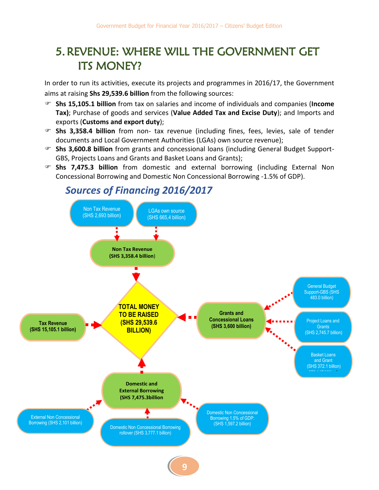## 5.REVENUE: WHERE WILL THE GOVERNMENT GET ITS MONEY?

In order to run its activities, execute its projects and programmes in 2016/17, the Government aims at raising **Shs 29,539.6 billion** from the following sources:

- **Shs 15,105.1 billion** from tax on salaries and income of individuals and companies (**Income Tax)**; Purchase of goods and services (**Value Added Tax and Excise Duty**); and Imports and exports (**Customs and export duty**);
- **Shs 3,358.4 billion** from non- tax revenue (including fines, fees, levies, sale of tender documents and Local Government Authorities (LGAs) own source revenue);
- **Shs 3,600.8 billion** from grants and concessional loans (including General Budget Support-GBS, Projects Loans and Grants and Basket Loans and Grants);
- **Shs 7,475.3 billion** from domestic and external borrowing (including External Non Concessional Borrowing and Domestic Non Concessional Borrowing -1.5% of GDP).



## *Sources of Financing 2016/2017*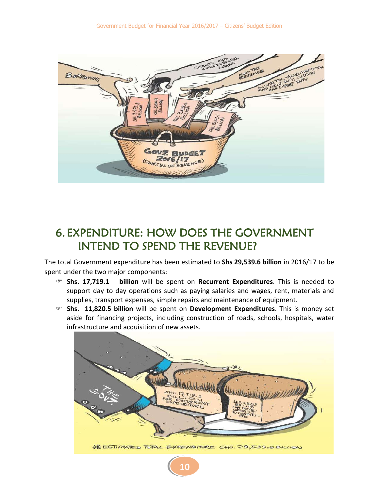

## 6. EXPENDITURE: HOW DOES THE GOVERNMENT INTEND TO SPEND THE REVENUE?

The total Government expenditure has been estimated to **Shs 29,539.6 billion** in 2016/17 to be spent under the two major components:

- **Shs. 17,719.1 billion** will be spent on **Recurrent Expenditures**. This is needed to support day to day operations such as paying salaries and wages, rent, materials and supplies, transport expenses, simple repairs and maintenance of equipment.
- **Shs. 11,820.5 billion** will be spent on **Development Expenditures**. This is money set aside for financing projects, including construction of roads, schools, hospitals, water infrastructure and acquisition of new assets.



**10**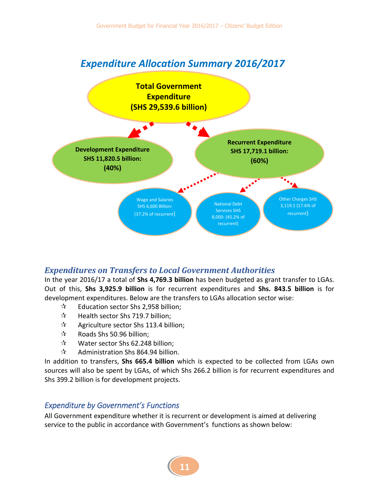

#### *Expenditures on Transfers to Local Government Authorities*

In the year 2016/17 a total of **Shs 4,769.3 billion** has been budgeted as grant transfer to LGAs. Out of this, **Shs 3,925.9 billion** is for recurrent expenditures and **Shs. 843.5 billion** is for development expenditures. Below are the transfers to LGAs allocation sector wise:

- $\mathbf{\hat{x}}$  Education sector Shs 2,958 billion;
- $\mathbf{\hat{x}}$  Health sector Shs 719.7 billion;
- $\mathcal{A}$  Agriculture sector Shs 113.4 billion;
- $\approx$  Roads Shs 50.96 billion;
- $\mathbf{\hat{x}}$  Water sector Shs 62.248 billion;
- $\approx$  Administration Shs 864.94 billion.

In addition to transfers, **Shs 665.4 billion** which is expected to be collected from LGAs own sources will also be spent by LGAs, of which Shs 266.2 billion is for recurrent expenditures and Shs 399.2 billion is for development projects.

#### *Expenditure by Government's Functions*

All Government expenditure whether it is recurrent or development is aimed at delivering service to the public in accordance with Government's functions as shown below: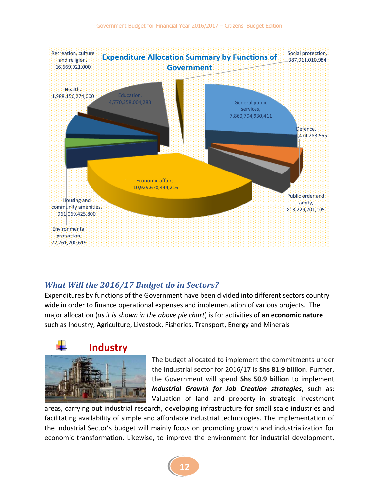

#### *What Will the 2016/17 Budget do in Sectors?*

Expenditures by functions of the Government have been divided into different sectors country wide in order to finance operational expenses and implementation of various projects. The major allocation (*as it is shown in the above pie chart*) is for activities of **an economic nature** such as Industry, Agriculture, Livestock, Fisheries, Transport, Energy and Minerals



The budget allocated to implement the commitments under the industrial sector for 2016/17 is **Shs 81.9 billion**. Further, the Government will spend **Shs 50.9 billion** to implement *Industrial Growth for Job Creation strategies*, such as: Valuation of land and property in strategic investment

areas, carrying out industrial research, developing infrastructure for small scale industries and facilitating availability of simple and affordable industrial technologies. The implementation of the industrial Sector's budget will mainly focus on promoting growth and industrialization for economic transformation. Likewise, to improve the environment for industrial development,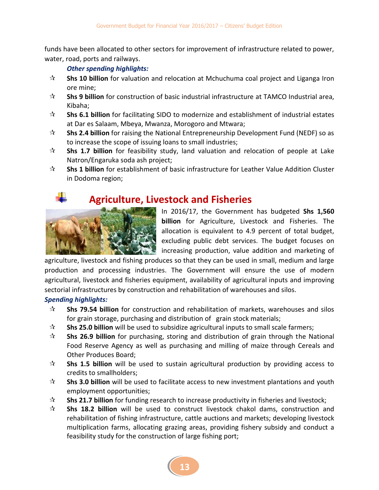funds have been allocated to other sectors for improvement of infrastructure related to power, water, road, ports and railways.

#### *Other spending highlights:*

- **Shs 10 billion** for valuation and relocation at Mchuchuma coal project and Liganga Iron ore mine;
- **Shs 9 billion** for construction of basic industrial infrastructure at TAMCO Industrial area, Kibaha;
- **Shs 6.1 billion** for facilitating SIDO to modernize and establishment of industrial estates at Dar es Salaam, Mbeya, Mwanza, Morogoro and Mtwara;
- **Shs 2.4 billion** for raising the National Entrepreneurship Development Fund (NEDF) so as to increase the scope of issuing loans to small industries;
- **Shs 1.7 billion** for feasibility study, land valuation and relocation of people at Lake Natron/Engaruka soda ash project;
- **Shs 1 billion** for establishment of basic infrastructure for Leather Value Addition Cluster in Dodoma region;

## **Agriculture, Livestock and Fisheries**



In 2016/17, the Government has budgeted **Shs 1,560 billion** for Agriculture, Livestock and Fisheries. The allocation is equivalent to 4.9 percent of total budget, excluding public debt services. The budget focuses on increasing production, value addition and marketing of

agriculture, livestock and fishing produces so that they can be used in small, medium and large production and processing industries. The Government will ensure the use of modern agricultural, livestock and fisheries equipment, availability of agricultural inputs and improving sectorial infrastructures by construction and rehabilitation of warehouses and silos.

- **Shs 79.54 billion** for construction and rehabilitation of markets, warehouses and silos for grain storage, purchasing and distribution of grain stock materials;
- **Shs 25.0 billion** will be used to subsidize agricultural inputs to small scale farmers;
- **Shs 26.9 billion** for purchasing, storing and distribution of grain through the National Food Reserve Agency as well as purchasing and milling of maize through Cereals and Other Produces Board;
- **Shs 1.5 billion** will be used to sustain agricultural production by providing access to credits to smallholders;
- **Shs 3.0 billion** will be used to facilitate access to new investment plantations and youth employment opportunities;
- **Shs 21.7 billion** for funding research to increase productivity in fisheries and livestock;
- **Shs 18.2 billion** will be used to construct livestock chakol dams, construction and rehabilitation of fishing infrastructure, cattle auctions and markets; developing livestock multiplication farms, allocating grazing areas, providing fishery subsidy and conduct a feasibility study for the construction of large fishing port;

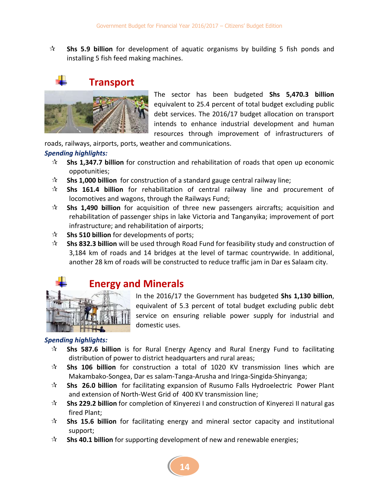**Shs 5.9 billion** for development of aquatic organisms by building 5 fish ponds and installing 5 fish feed making machines.



The sector has been budgeted **Shs 5,470.3 billion** equivalent to 25.4 percent of total budget excluding public debt services. The 2016/17 budget allocation on transport intends to enhance industrial development and human resources through improvement of infrastructurers of

roads, railways, airports, ports, weather and communications.

#### *Spending highlights:*

- **Shs 1,347.7 billion** for construction and rehabilitation of roads that open up economic oppotunities;
- **Shs 1,000 billion** for construction of a standard gauge central railway line;
- **Shs 161.4 billion** for rehabilitation of central railway line and procurement of locomotives and wagons, through the Railways Fund;
- **Shs 1,490 billion** for acquisition of three new passengers aircrafts; acquisition and rehabilitation of passenger ships in lake Victoria and Tanganyika; improvement of port infrastructure; and rehabilitation of airports;
- **Shs 510 billion** for developments of ports;
- **Shs 832.3 billion** will be used through Road Fund for feasibility study and construction of 3,184 km of roads and 14 bridges at the level of tarmac countrywide. In additional, another 28 km of roads will be constructed to reduce traffic jam in Dar es Salaam city.



### **Energy and Minerals**

In the 2016/17 the Government has budgeted **Shs 1,130 billion**, equivalent of 5.3 percent of total budget excluding public debt service on ensuring reliable power supply for industrial and domestic uses.

- **Shs 587.6 billion** is for Rural Energy Agency and Rural Energy Fund to facilitating distribution of power to district headquarters and rural areas;
- **Shs 106 billion** for construction a total of 1020 KV transmission lines which are Makambako-Songea, Dar es salam-Tanga-Arusha and Iringa-Singida-Shinyanga;
- **Shs 26.0 billion** for facilitating expansion of Rusumo Falls Hydroelectric Power Plant and extension of North-West Grid of 400 KV transmission line;
- **Shs 229.2 billion** for completion of Kinyerezi I and construction of Kinyerezi II natural gas fired Plant;
- **Shs 15.6 billion** for facilitating energy and mineral sector capacity and institutional support;
- **Shs 40.1 billion** for supporting development of new and renewable energies;

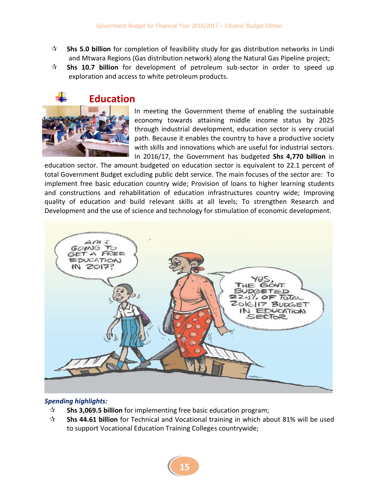- **Shs 5.0 billion** for completion of feasibility study for gas distribution networks in Lindi and Mtwara Regions (Gas distribution network) along the Natural Gas Pipeline project;
- **Shs 10.7 billion** for development of petroleum sub-sector in order to speed up exploration and access to white petroleum products.



In meeting the Government theme of enabling the sustainable economy towards attaining middle income status by 2025 through industrial development, education sector is very crucial path. Because it enables the country to have a productive society with skills and innovations which are useful for industrial sectors. In 2016/17, the Government has budgeted **Shs 4,770 billion** in

education sector. The amount budgeted on education sector is equivalent to 22.1 percent of total Government Budget excluding public debt service. The main focuses of the sector are: To implement free basic education country wide; Provision of loans to higher learning students and constructions and rehabilitation of education infrastructures country wide; Improving quality of education and build relevant skills at all levels; To strengthen Research and Development and the use of science and technology for stimulation of economic development.



- **Shs 3,069.5 billion** for implementing free basic education program;
- **Shs 44.61 billion** for Technical and Vocational training in which about 81% will be used to support Vocational Education Training Colleges countrywide;

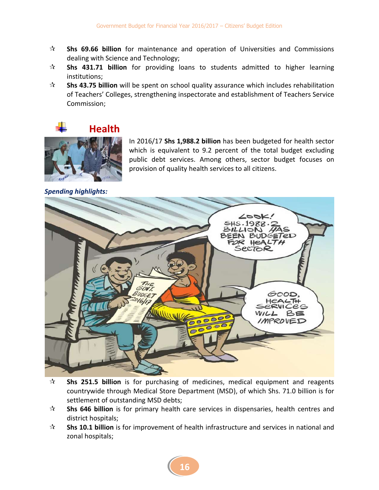- **Shs 69.66 billion** for maintenance and operation of Universities and Commissions dealing with Science and Technology;
- **Shs 431.71 billion** for providing loans to students admitted to higher learning institutions;
- **Shs 43.75 billion** will be spent on school quality assurance which includes rehabilitation of Teachers' Colleges, strengthening inspectorate and establishment of Teachers Service Commission;

## **Health**



In 2016/17 **Shs 1,988.2 billion** has been budgeted for health sector which is equivalent to 9.2 percent of the total budget excluding public debt services. Among others, sector budget focuses on provision of quality health services to all citizens.

*Spending highlights:*



- **Shs 251.5 billion** is for purchasing of medicines, medical equipment and reagents countrywide through Medical Store Department (MSD), of which Shs. 71.0 billion is for settlement of outstanding MSD debts;
- **Shs 646 billion** is for primary health care services in dispensaries, health centres and district hospitals;
- **Shs 10.1 billion** is for improvement of health infrastructure and services in national and zonal hospitals;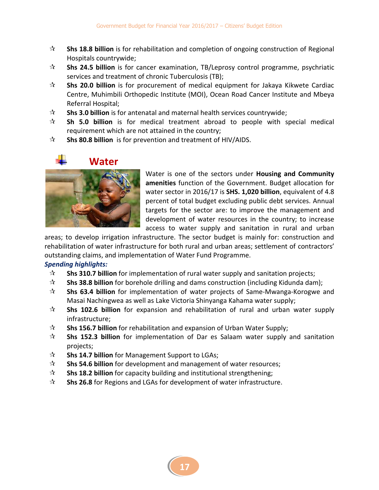- **Shs 18.8 billion** is for rehabilitation and completion of ongoing construction of Regional Hospitals countrywide;
- **Shs 24.5 billion** is for cancer examination, TB/Leprosy control programme, psychriatic services and treatment of chronic Tuberculosis (TB);
- **Shs 20.0 billion** is for procurement of medical equipment for Jakaya Kikwete Cardiac Centre, Muhimbili Orthopedic Institute (MOI), Ocean Road Cancer Institute and Mbeya Referral Hospital;
- **Shs 3.0 billion** is for antenatal and maternal health services countrywide;
- **Sh 5.0 billion** is for medical treatment abroad to people with special medical requirement which are not attained in the country;
- **Shs 80.8 billion** is for prevention and treatment of HIV/AIDS.



Water is one of the sectors under **Housing and Community amenities** function of the Government. Budget allocation for water sector in 2016/17 is **SHS. 1,020 billion**, equivalent of 4.8 percent of total budget excluding public debt services. Annual targets for the sector are: to improve the management and development of water resources in the country; to increase access to water supply and sanitation in rural and urban

areas; to develop irrigation infrastructure. The sector budget is mainly for: construction and rehabilitation of water infrastructure for both rural and urban areas; settlement of contractors' outstanding claims, and implementation of Water Fund Programme.

- **Shs 310.7 billion** for implementation of rural water supply and sanitation projects;
- **Shs 38.8 billion** for borehole drilling and dams construction (including Kidunda dam);
- **Shs 63.4 billion** for implementation of water projects of Same-Mwanga-Korogwe and Masai Nachingwea as well as Lake Victoria Shinyanga Kahama water supply;
- **Shs 102.6 billion** for expansion and rehabilitation of rural and urban water supply infrastructure;
- **Shs 156.7 billion** for rehabilitation and expansion of Urban Water Supply;
- **Shs 152.3 billion** for implementation of Dar es Salaam water supply and sanitation projects;
- **Shs 14.7 billion** for Management Support to LGAs;
- **Shs 54.6 billion** for development and management of water resources;
- **Shs 18.2 billion** for capacity building and institutional strengthening;
- **Shs 26.8** for Regions and LGAs for development of water infrastructure.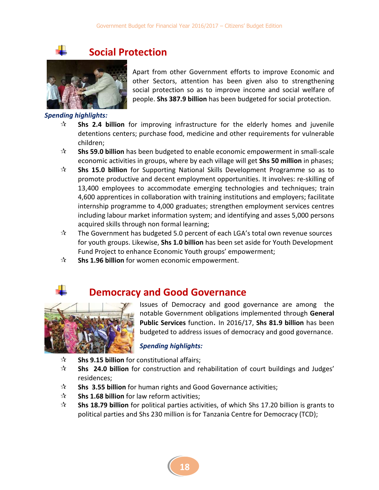

Apart from other Government efforts to improve Economic and other Sectors, attention has been given also to strengthening social protection so as to improve income and social welfare of people. **Shs 387.9 billion** has been budgeted for social protection.

#### *Spending highlights:*

- **Shs 2.4 billion** for improving infrastructure for the elderly homes and juvenile detentions centers; purchase food, medicine and other requirements for vulnerable children;
- **Shs 59.0 billion** has been budgeted to enable economic empowerment in small-scale economic activities in groups, where by each village will get **Shs 50 million** in phases;
- **Shs 15.0 billion** for Supporting National Skills Development Programme so as to promote productive and decent employment opportunities. It involves: re-skilling of 13,400 employees to accommodate emerging technologies and techniques; train 4,600 apprentices in collaboration with training institutions and employers; facilitate internship programme to 4,000 graduates; strengthen employment services centres including labour market information system; and identifying and asses 5,000 persons acquired skills through non formal learning;
- $\mathbf{\hat{x}}$  The Government has budgeted 5.0 percent of each LGA's total own revenue sources for youth groups. Likewise, **Shs 1.0 billion** has been set aside for Youth Development Fund Project to enhance Economic Youth groups' empowerment;
- **Shs 1.96 billion** for women economic empowerment.

#### **Democracy and Good Governance**



Issues of Democracy and good governance are among the notable Government obligations implemented through **General Public Services** function. In 2016/17, **Shs 81.9 billion** has been budgeted to address issues of democracy and good governance.

- **Shs 9.15 billion** for constitutional affairs;
- **Shs 24.0 billion** for construction and rehabilitation of court buildings and Judges' residences;
- **Shs 3.55 billion** for human rights and Good Governance activities;
- **Shs 1.68 billion** for law reform activities;
- **Shs 18.79 billion** for political parties activities, of which Shs 17.20 billion is grants to political parties and Shs 230 million is for Tanzania Centre for Democracy (TCD);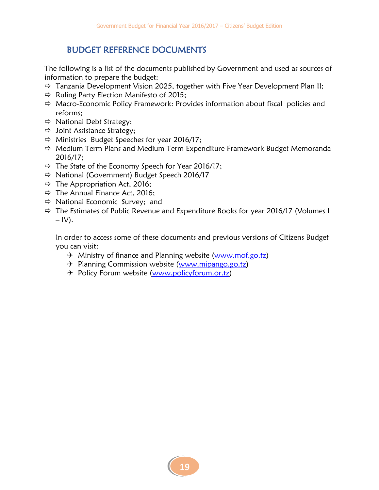### BUDGET REFERENCE DOCUMENTS

The following is a list of the documents published by Government and used as sources of information to prepare the budget:

- $\Rightarrow$  Tanzania Development Vision 2025, together with Five Year Development Plan II;
- $\Rightarrow$  Ruling Party Election Manifesto of 2015;
- $\Rightarrow$  Macro-Economic Policy Framework: Provides information about fiscal policies and reforms;
- $\Rightarrow$  National Debt Strategy;
- $\Rightarrow$  Joint Assistance Strategy;
- $\Rightarrow$  Ministries Budget Speeches for year 2016/17;
- $\Rightarrow$  Medium Term Plans and Medium Term Expenditure Framework Budget Memoranda 2016/17;
- $\Rightarrow$  The State of the Economy Speech for Year 2016/17;
- $\Rightarrow$  National (Government) Budget Speech 2016/17
- $\Rightarrow$  The Appropriation Act, 2016;
- $\Rightarrow$  The Annual Finance Act, 2016;
- $\Rightarrow$  National Economic Survey; and
- $\Rightarrow$  The Estimates of Public Revenue and Expenditure Books for year 2016/17 (Volumes I  $-$  IV).

In order to access some of these documents and previous versions of Citizens Budget you can visit:

- H Ministry of finance and Planning website [\(www.mof.go.tz\)](http://www.mof.go.tz/)
- $\rightarrow$  Planning Commission website [\(www.mipango.go.tz\)](http://www.mipango.go.tz/)
- Policy Forum website [\(www.policyforum.or.tz\)](http://www.policyforum.or.tz/)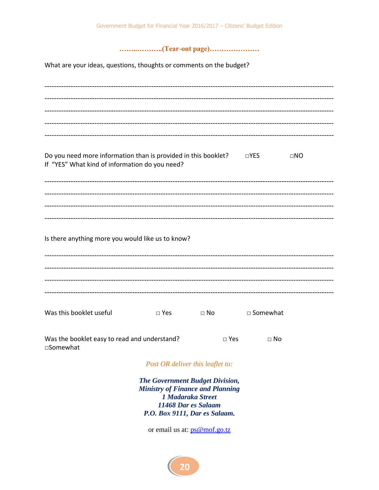#### 

What are your ideas, questions, thoughts or comments on the budget?

| Do you need more information than is provided in this booklet? $\square$ YES<br>If "YES" What kind of information do you need? |                                                                                       |              |               |            | $\Box NO$ |
|--------------------------------------------------------------------------------------------------------------------------------|---------------------------------------------------------------------------------------|--------------|---------------|------------|-----------|
|                                                                                                                                |                                                                                       |              |               |            |           |
|                                                                                                                                |                                                                                       |              |               |            |           |
|                                                                                                                                |                                                                                       |              |               |            |           |
|                                                                                                                                |                                                                                       |              |               |            |           |
| Is there anything more you would like us to know?                                                                              |                                                                                       |              |               |            |           |
|                                                                                                                                |                                                                                       |              |               |            |           |
|                                                                                                                                |                                                                                       |              |               |            |           |
|                                                                                                                                |                                                                                       |              |               |            |           |
|                                                                                                                                |                                                                                       |              |               |            |           |
| Was this booklet useful                                                                                                        | $\Box$ Yes                                                                            | $\square$ No |               | □ Somewhat |           |
|                                                                                                                                |                                                                                       |              |               |            |           |
| Was the booklet easy to read and understand?<br>□Somewhat                                                                      |                                                                                       |              | $\square$ Yes | $\Box$ No  |           |
|                                                                                                                                | Post OR deliver this leaflet to:                                                      |              |               |            |           |
|                                                                                                                                |                                                                                       |              |               |            |           |
|                                                                                                                                | The Government Budget Division,<br><b>Ministry of Finance and Planning</b><br>1.11.11 |              |               |            |           |

1 Madaraka Street 11468 Dar es Salaam P.O. Box 9111, Dar es Salaam.

or email us at: ps@mof.go.tz

 $20$